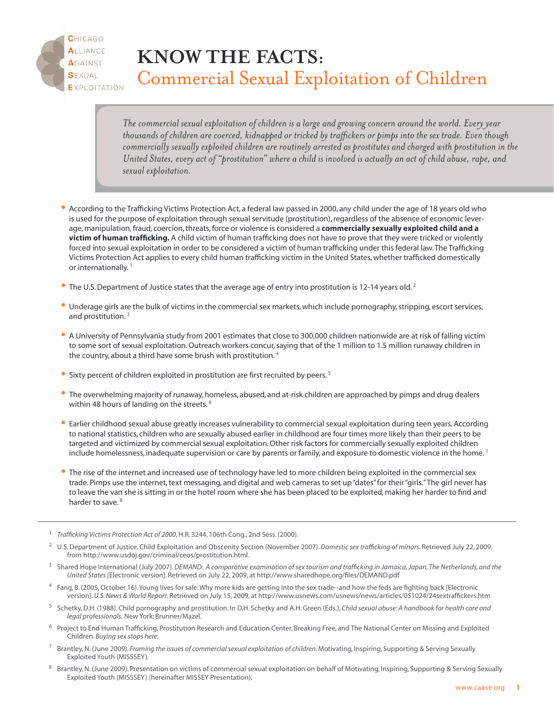

## **KNOW THE FACTS:** Commercial Sexual Exploitation of Children

The commercial sexual exploitation of children is a large and growing concern around the world. Every year thousands of children are coerced, kidnapped or tricked by traffickers or pimps into the sex trade. Even though *commercially sexually exploited children are routinely arrested as prostitutes and charged with prostitution in the* United States, every act of "prostitution" where a child is involved is actually an act of child abuse, rape, and *sexual exploitation.*

- According to the Trafficking Victims Protection Act, <sup>a</sup> federal law passed in 2000, any child under the age of <sup>18</sup> years old who is used for the purpose of exploitation through sexual servitude (prostitution), regardless of the absence of economic leverage, manipulation,fraud, coercion,threats,force or violence is considered a **commercially sexually exploited child and a victim of human trafficking.** A child victim of human trafficking does not have to prove that they were tricked or violently forced into sexual exploitation in order to be considered a victim of human trafficking under this federal law.The Trafficking Victims Protection Act applies to every child human trafficking victim in the United States,whether trafficked domestically or internationally.<sup>1</sup>
- The U.S. Department of Justice states that the average age of entry into prostitution is 12-14 years old.<sup>2</sup>
- Underage girls are the bulk of victims in the commercial sex markets,which include pornography,stripping, escort services, and prostitution. <sup>3</sup>
- <sup>A</sup> University of Pennsylvania study from <sup>2001</sup> estimates that close to 300,000 children nationwide are at risk of falling victim to some sort of sexual exploitation.Outreach workers concur,saying that of the 1 million to 1.5 million runaway children in the country, about a third have some brush with prostitution. <sup>4</sup>
- $\bullet$  Sixty percent of children exploited in prostitution are first recruited by peers.<sup>5</sup>
- The overwhelming majority of runaway, homeless, abused, and at-risk children are approached by pimps and drug dealers within 48 hours of landing on the streets.<sup>6</sup>
- Earlier childhood sexual abuse greatly increases vulnerability to commercial sexual exploitation during teen years. According to national statistics, children who are sexually abused earlier in childhood are four times more likely than their peers to be targeted and victimized by commercial sexual exploitation.Other risk factors for commercially sexually exploited children include homelessness, inadequate supervision or care by parents or family, and exposure to domestic violence in the home.<sup>7</sup>
- The rise of the internet and increased use of technology have led to more children being exploited in the commercial sex trade. Pimps use the internet, text messaging, and digital and web cameras to set up "dates" for their "girls." The girl never has to leave the van she is sitting in or the hotel room where she has been placed to be exploited, making her harder to find and harder to save.<sup>8</sup>

- <sup>2</sup> U.S.Department of Justice, Child Exploitation and Obscenity Section (November 2007).*Domestic sex trafficking of minors*. Retrieved July 22, 2009, from http://www.usdoj.gov/criminal/ceos/prostitution.html.
- Shared Hope International (July 2007). DEMAND: A comparative examination of sex tourism and trafficking in Jamaica, Japan, The Netherlands, and the *United States* [Electronic version]. Retrieved on July 22, 2009, at http://www.sharedhope.org/files/DEMAND.pdf
- <sup>4</sup> Fang, B. (2005,October 16).Young lives for sale:Why more kids are getting into the sex trade--and how the feds are fighting back [Electronic version].*U.S.News & World Report.*Retrieved on July 15, 2009, at http://www.usnews.com/usnews/news/articles/051024/24sextraffickers.htm
- <sup>5</sup> Schetky,D.H. (1988). Child pornography and prostitution. In D.H. Schetky and A.H.Green (Eds.), *Child sexual abuse: A handbook for health care and legal professionals.* New York: Brunner/Mazel.
- <sup>6</sup> Project to End Human Trafficking, Prostitution Research and Education Center, Breaking Free, and The National Center on Missing and Exploited Children. *Buying sex stops here.*
- <sup>7</sup> Brantley,N. (June 2009). *Framing the issues of commercial sexual exploitation of children.*Motivating, Inspiring, Supporting & Serving Sexually Exploited Youth (MISSSEY).
- 8 Brantley, N. (June 2009). Presentation on victims of commercial sexual exploitation on behalf of Motivating, Inspiring, Supporting & Serving Sexually Exploited Youth (MISSSEY) (hereinafter MISSEY Presentation).

<sup>1</sup> *Trafficking Victims Protection Act of 2000*,H.R. 3244, 106th Cong., 2nd Sess. (2000).